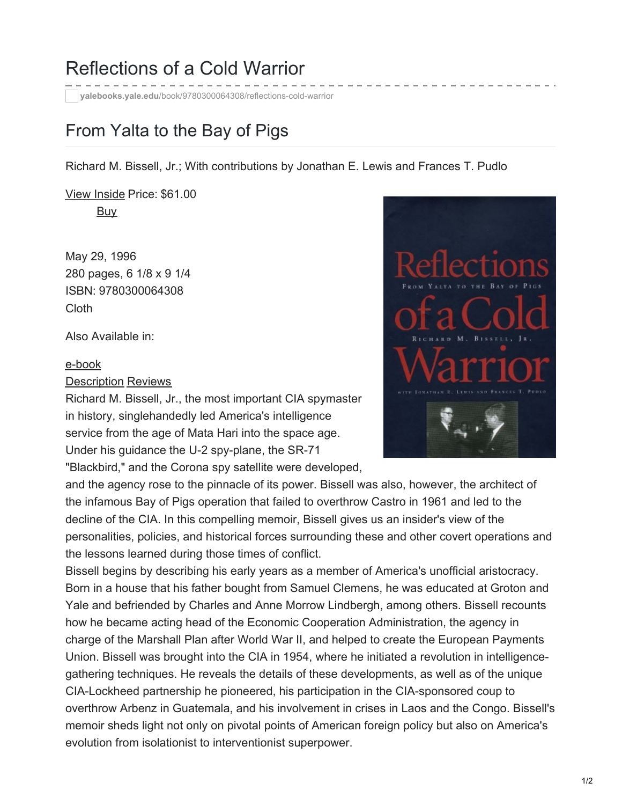## Reflections of a Cold Warrior

**yalebooks.yale.edu**[/book/9780300064308/reflections-cold-warrior](https://yalebooks.yale.edu/book/9780300064308/reflections-cold-warrior)

## From Yalta to the Bay of Pigs

Richard M. Bissell, Jr.; With contributions by Jonathan E. Lewis and Frances T. Pudlo

View [Inside](https://books.google.com/books/yup?vid=ISBN9780300064308) Price: \$61.00 **[Buy](javascript:)** 

May 29, 1996 280 pages, 6 1/8 x 9 1/4 ISBN: 9780300064308 Cloth

Also Available in:

## [e-book](https://yalebooks.yale.edu/ebook-information)

Description Reviews

Richard M. Bissell, Jr., the most important CIA spymaster in history, singlehandedly led America's intelligence service from the age of Mata Hari into the space age. Under his guidance the U-2 spy-plane, the SR-71

"Blackbird," and the Corona spy satellite were developed,

and the agency rose to the pinnacle of its power. Bissell was also, however, the architect of the infamous Bay of Pigs operation that failed to overthrow Castro in 1961 and led to the decline of the CIA. In this compelling memoir, Bissell gives us an insider's view of the personalities, policies, and historical forces surrounding these and other covert operations and the lessons learned during those times of conflict.

Bissell begins by describing his early years as a member of America's unofficial aristocracy. Born in a house that his father bought from Samuel Clemens, he was educated at Groton and Yale and befriended by Charles and Anne Morrow Lindbergh, among others. Bissell recounts how he became acting head of the Economic Cooperation Administration, the agency in charge of the Marshall Plan after World War II, and helped to create the European Payments Union. Bissell was brought into the CIA in 1954, where he initiated a revolution in intelligencegathering techniques. He reveals the details of these developments, as well as of the unique CIA-Lockheed partnership he pioneered, his participation in the CIA-sponsored coup to overthrow Arbenz in Guatemala, and his involvement in crises in Laos and the Congo. Bissell's memoir sheds light not only on pivotal points of American foreign policy but also on America's evolution from isolationist to interventionist superpower.